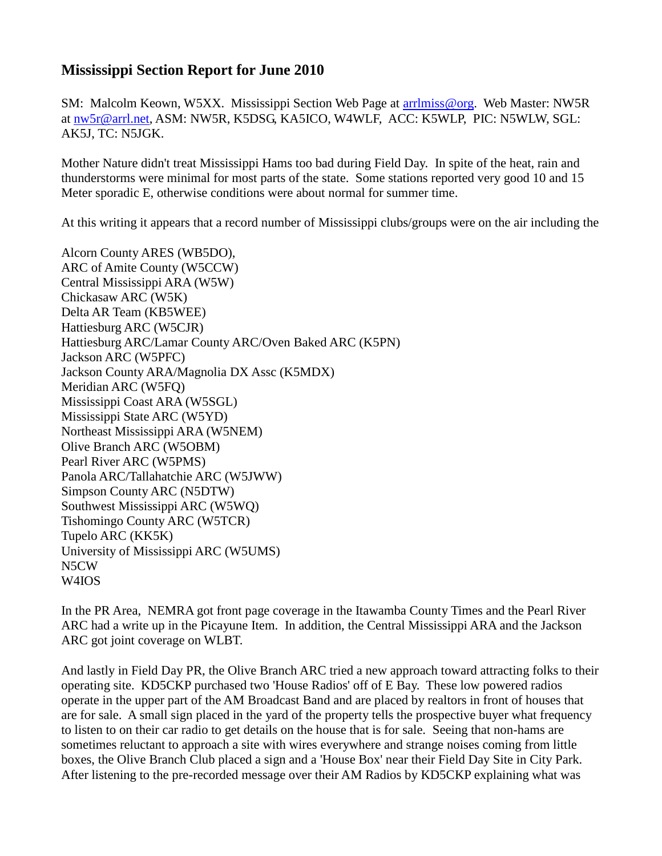## **Mississippi Section Report for June 2010**

SM: Malcolm Keown, W5XX. Mississippi Section Web Page at [arrlmiss@org.](mailto:arrlmiss@org) Web Master: NW5R at [nw5r@arrl.net,](mailto:nw5r@arrl.net) ASM: NW5R, K5DSG, KA5ICO, W4WLF, ACC: K5WLP, PIC: N5WLW, SGL: AK5J, TC: N5JGK.

Mother Nature didn't treat Mississippi Hams too bad during Field Day. In spite of the heat, rain and thunderstorms were minimal for most parts of the state. Some stations reported very good 10 and 15 Meter sporadic E, otherwise conditions were about normal for summer time.

At this writing it appears that a record number of Mississippi clubs/groups were on the air including the

Alcorn County ARES (WB5DO), ARC of Amite County (W5CCW) Central Mississippi ARA (W5W) Chickasaw ARC (W5K) Delta AR Team (KB5WEE) Hattiesburg ARC (W5CJR) Hattiesburg ARC/Lamar County ARC/Oven Baked ARC (K5PN) Jackson ARC (W5PFC) Jackson County ARA/Magnolia DX Assc (K5MDX) Meridian ARC (W5FQ) Mississippi Coast ARA (W5SGL) Mississippi State ARC (W5YD) Northeast Mississippi ARA (W5NEM) Olive Branch ARC (W5OBM) Pearl River ARC (W5PMS) Panola ARC/Tallahatchie ARC (W5JWW) Simpson County ARC (N5DTW) Southwest Mississippi ARC (W5WQ) Tishomingo County ARC (W5TCR) Tupelo ARC (KK5K) University of Mississippi ARC (W5UMS) N5CW W4IOS

In the PR Area, NEMRA got front page coverage in the Itawamba County Times and the Pearl River ARC had a write up in the Picayune Item. In addition, the Central Mississippi ARA and the Jackson ARC got joint coverage on WLBT.

And lastly in Field Day PR, the Olive Branch ARC tried a new approach toward attracting folks to their operating site. KD5CKP purchased two 'House Radios' off of E Bay. These low powered radios operate in the upper part of the AM Broadcast Band and are placed by realtors in front of houses that are for sale. A small sign placed in the yard of the property tells the prospective buyer what frequency to listen to on their car radio to get details on the house that is for sale. Seeing that non-hams are sometimes reluctant to approach a site with wires everywhere and strange noises coming from little boxes, the Olive Branch Club placed a sign and a 'House Box' near their Field Day Site in City Park. After listening to the pre-recorded message over their AM Radios by KD5CKP explaining what was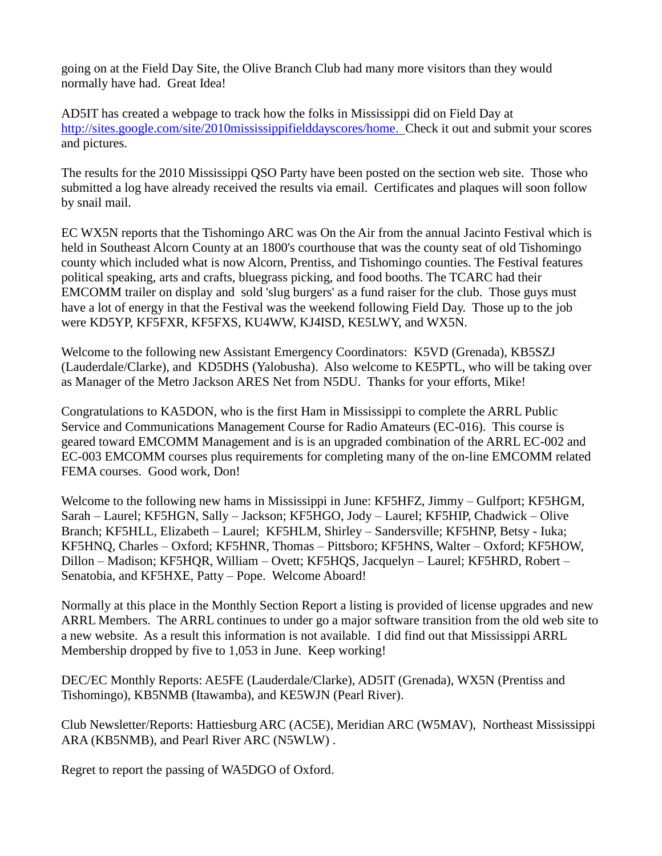going on at the Field Day Site, the Olive Branch Club had many more visitors than they would normally have had. Great Idea!

AD5IT has created a webpage to track how the folks in Mississippi did on Field Day at [http://sites.google.com/site/2010mississippifielddayscores/home.](http://sites.google.com/site/2010mississippifielddayscores/home) Check it out and submit your scores and pictures.

The results for the 2010 Mississippi QSO Party have been posted on the section web site. Those who submitted a log have already received the results via email. Certificates and plaques will soon follow by snail mail.

EC WX5N reports that the Tishomingo ARC was On the Air from the annual Jacinto Festival which is held in Southeast Alcorn County at an 1800's courthouse that was the county seat of old Tishomingo county which included what is now Alcorn, Prentiss, and Tishomingo counties. The Festival features political speaking, arts and crafts, bluegrass picking, and food booths. The TCARC had their EMCOMM trailer on display and sold 'slug burgers' as a fund raiser for the club. Those guys must have a lot of energy in that the Festival was the weekend following Field Day. Those up to the job were KD5YP, KF5FXR, KF5FXS, KU4WW, KJ4ISD, KE5LWY, and WX5N.

Welcome to the following new Assistant Emergency Coordinators: K5VD (Grenada), KB5SZJ (Lauderdale/Clarke), and KD5DHS (Yalobusha). Also welcome to KE5PTL, who will be taking over as Manager of the Metro Jackson ARES Net from N5DU. Thanks for your efforts, Mike!

Congratulations to KA5DON, who is the first Ham in Mississippi to complete the ARRL Public Service and Communications Management Course for Radio Amateurs (EC-016). This course is geared toward EMCOMM Management and is is an upgraded combination of the ARRL EC-002 and EC-003 EMCOMM courses plus requirements for completing many of the on-line EMCOMM related FEMA courses. Good work, Don!

Welcome to the following new hams in Mississippi in June: KF5HFZ, Jimmy – Gulfport; KF5HGM, Sarah – Laurel; KF5HGN, Sally – Jackson; KF5HGO, Jody – Laurel; KF5HIP, Chadwick – Olive Branch; KF5HLL, Elizabeth – Laurel; KF5HLM, Shirley – Sandersville; KF5HNP, Betsy - Iuka; KF5HNQ, Charles – Oxford; KF5HNR, Thomas – Pittsboro; KF5HNS, Walter – Oxford; KF5HOW, Dillon – Madison; KF5HQR, William – Ovett; KF5HQS, Jacquelyn – Laurel; KF5HRD, Robert – Senatobia, and KF5HXE, Patty – Pope. Welcome Aboard!

Normally at this place in the Monthly Section Report a listing is provided of license upgrades and new ARRL Members. The ARRL continues to under go a major software transition from the old web site to a new website. As a result this information is not available. I did find out that Mississippi ARRL Membership dropped by five to 1,053 in June. Keep working!

DEC/EC Monthly Reports: AE5FE (Lauderdale/Clarke), AD5IT (Grenada), WX5N (Prentiss and Tishomingo), KB5NMB (Itawamba), and KE5WJN (Pearl River).

Club Newsletter/Reports: Hattiesburg ARC (AC5E), Meridian ARC (W5MAV), Northeast Mississippi ARA (KB5NMB), and Pearl River ARC (N5WLW) .

Regret to report the passing of WA5DGO of Oxford.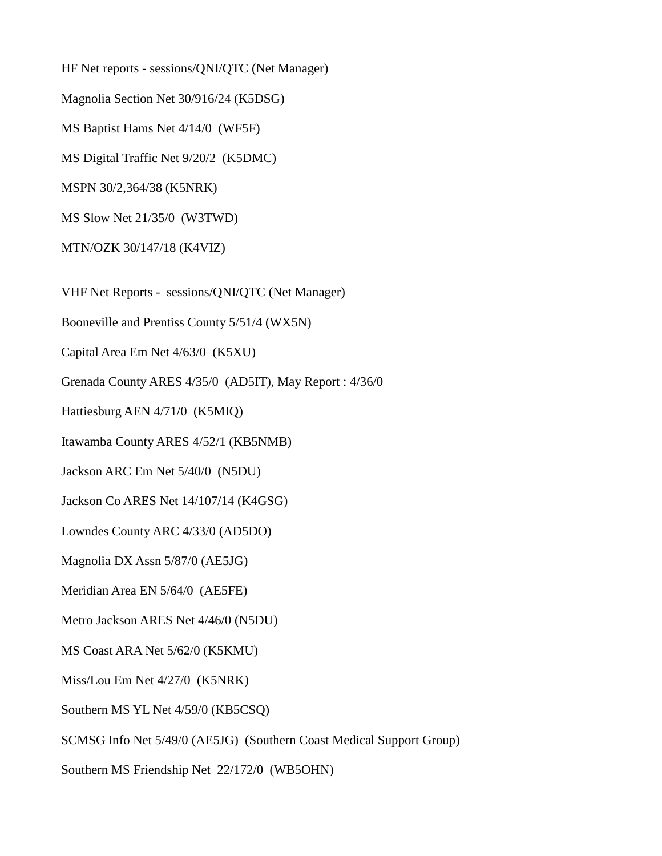HF Net reports - sessions/QNI/QTC (Net Manager) Magnolia Section Net 30/916/24 (K5DSG) MS Baptist Hams Net 4/14/0 (WF5F) MS Digital Traffic Net 9/20/2 (K5DMC) MSPN 30/2,364/38 (K5NRK) MS Slow Net 21/35/0 (W3TWD) MTN/OZK 30/147/18 (K4VIZ) VHF Net Reports - sessions/QNI/QTC (Net Manager) Booneville and Prentiss County 5/51/4 (WX5N) Capital Area Em Net 4/63/0 (K5XU) Grenada County ARES 4/35/0 (AD5IT), May Report : 4/36/0 Hattiesburg AEN 4/71/0 (K5MIQ) Itawamba County ARES 4/52/1 (KB5NMB) Jackson ARC Em Net 5/40/0 (N5DU) Jackson Co ARES Net 14/107/14 (K4GSG) Lowndes County ARC 4/33/0 (AD5DO) Magnolia DX Assn 5/87/0 (AE5JG) Meridian Area EN 5/64/0 (AE5FE) Metro Jackson ARES Net 4/46/0 (N5DU) MS Coast ARA Net 5/62/0 (K5KMU) Miss/Lou Em Net 4/27/0 (K5NRK) Southern MS YL Net 4/59/0 (KB5CSQ) SCMSG Info Net 5/49/0 (AE5JG) (Southern Coast Medical Support Group) Southern MS Friendship Net 22/172/0 (WB5OHN)